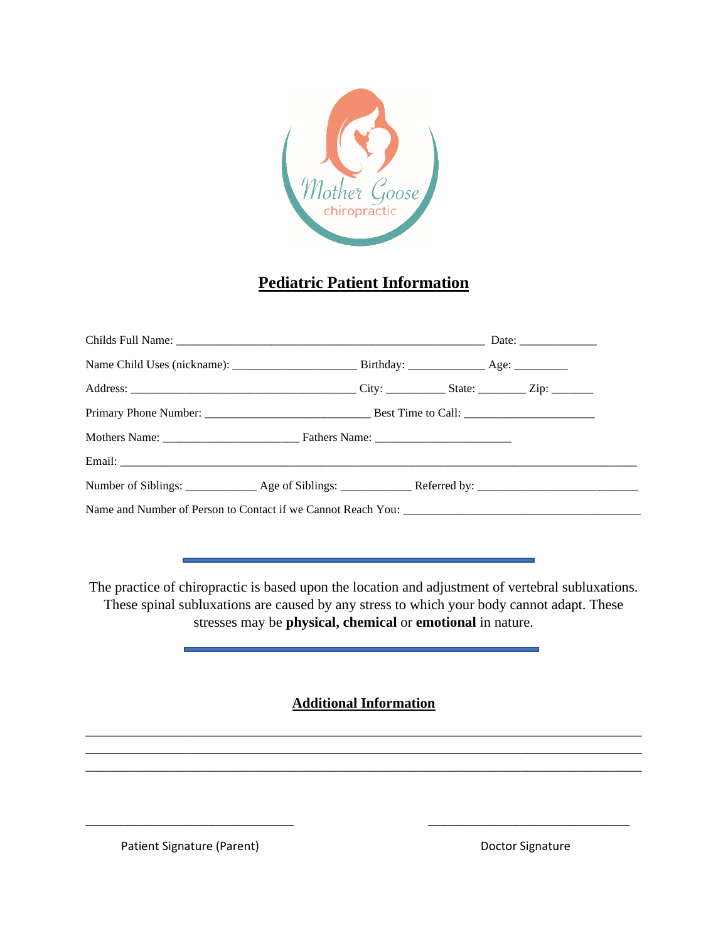

## **Pediatric Patient Information**

The practice of chiropractic is based upon the location and adjustment of vertebral subluxations. These spinal subluxations are caused by any stress to which your body cannot adapt. These stresses may be **physical, chemical** or **emotional** in nature.

**Additional Information**

\_\_\_\_\_\_\_\_\_\_\_\_\_\_\_\_\_\_\_\_\_\_\_\_\_\_\_\_\_\_\_\_\_\_\_\_\_\_\_\_\_\_\_\_\_\_\_\_\_\_\_\_\_\_\_\_\_\_\_\_\_\_\_\_\_\_\_\_\_\_\_\_\_\_\_\_\_\_ \_\_\_\_\_\_\_\_\_\_\_\_\_\_\_\_\_\_\_\_\_\_\_\_\_\_\_\_\_\_\_\_\_\_\_\_\_\_\_\_\_\_\_\_\_\_\_\_\_\_\_\_\_\_\_\_\_\_\_\_\_\_\_\_\_\_\_\_\_\_\_\_\_\_\_\_\_\_ \_\_\_\_\_\_\_\_\_\_\_\_\_\_\_\_\_\_\_\_\_\_\_\_\_\_\_\_\_\_\_\_\_\_\_\_\_\_\_\_\_\_\_\_\_\_\_\_\_\_\_\_\_\_\_\_\_\_\_\_\_\_\_\_\_\_\_\_\_\_\_\_\_\_\_\_\_\_

\_\_\_\_\_\_\_\_\_\_\_\_\_\_\_\_\_\_\_\_\_\_\_\_\_\_\_\_\_\_\_\_ \_\_\_\_\_\_\_\_\_\_\_\_\_\_\_\_\_\_\_\_\_\_\_\_\_\_\_\_\_\_\_

Patient Signature (Parent) and Doctor Signature Doctor Signature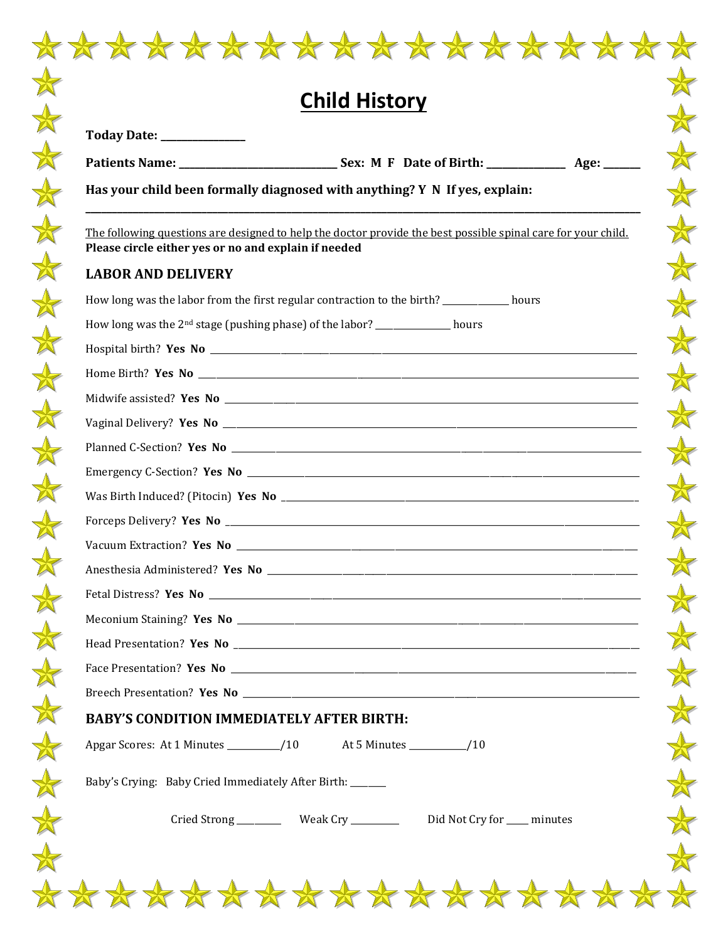| <b>Child History</b>                                      |                                                                                                               |  |
|-----------------------------------------------------------|---------------------------------------------------------------------------------------------------------------|--|
| Today Date: _____________                                 |                                                                                                               |  |
|                                                           |                                                                                                               |  |
|                                                           | Has your child been formally diagnosed with anything? Y N If yes, explain:                                    |  |
| Please circle either yes or no and explain if needed      | The following questions are designed to help the doctor provide the best possible spinal care for your child. |  |
| <b>LABOR AND DELIVERY</b>                                 |                                                                                                               |  |
|                                                           | How long was the labor from the first regular contraction to the birth? _________ hours                       |  |
|                                                           | How long was the 2 <sup>nd</sup> stage (pushing phase) of the labor? ____________ hours                       |  |
|                                                           |                                                                                                               |  |
|                                                           |                                                                                                               |  |
|                                                           |                                                                                                               |  |
|                                                           |                                                                                                               |  |
|                                                           |                                                                                                               |  |
|                                                           |                                                                                                               |  |
|                                                           |                                                                                                               |  |
|                                                           |                                                                                                               |  |
|                                                           |                                                                                                               |  |
|                                                           |                                                                                                               |  |
|                                                           |                                                                                                               |  |
|                                                           |                                                                                                               |  |
|                                                           |                                                                                                               |  |
|                                                           |                                                                                                               |  |
|                                                           |                                                                                                               |  |
| <b>BABY'S CONDITION IMMEDIATELY AFTER BIRTH:</b>          |                                                                                                               |  |
|                                                           |                                                                                                               |  |
| Baby's Crying: Baby Cried Immediately After Birth: ______ |                                                                                                               |  |
|                                                           | Cried Strong _____________ Weak Cry _________________ Did Not Cry for _____ minutes                           |  |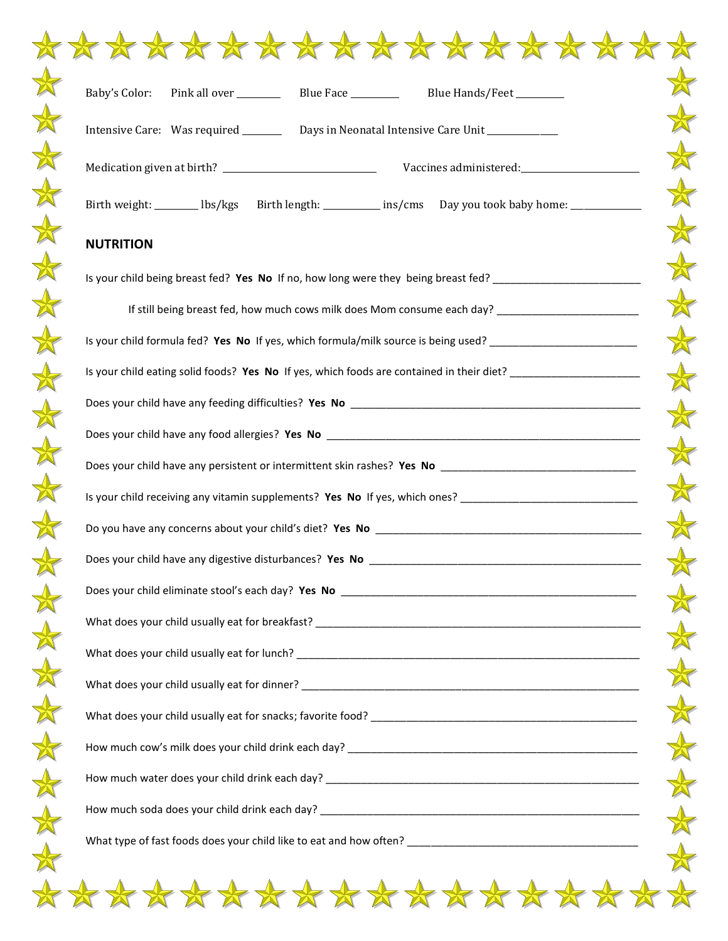| Baby's Color:    | Blue Hands/Feet ________                                                                                       |
|------------------|----------------------------------------------------------------------------------------------------------------|
|                  | Intensive Care: Was required __________ Days in Neonatal Intensive Care Unit ______________________            |
|                  |                                                                                                                |
|                  | Birth weight: _________ lbs/kgs Birth length: ___________ ins/cms Day you took baby home: __________           |
| <b>NUTRITION</b> |                                                                                                                |
|                  | Is your child being breast fed? Yes No If no, how long were they being breast fed? _______________________     |
|                  | If still being breast fed, how much cows milk does Mom consume each day? ___________________________           |
|                  | Is your child formula fed? Yes No If yes, which formula/milk source is being used? ___________________________ |
|                  | Is your child eating solid foods? Yes No If yes, which foods are contained in their diet? ____________________ |
|                  |                                                                                                                |
|                  |                                                                                                                |
|                  |                                                                                                                |
|                  | Is your child receiving any vitamin supplements? Yes No If yes, which ones? ______________________________     |
|                  |                                                                                                                |
|                  |                                                                                                                |
|                  |                                                                                                                |
|                  |                                                                                                                |
|                  |                                                                                                                |
|                  |                                                                                                                |
|                  |                                                                                                                |
|                  |                                                                                                                |
|                  |                                                                                                                |
|                  |                                                                                                                |
|                  |                                                                                                                |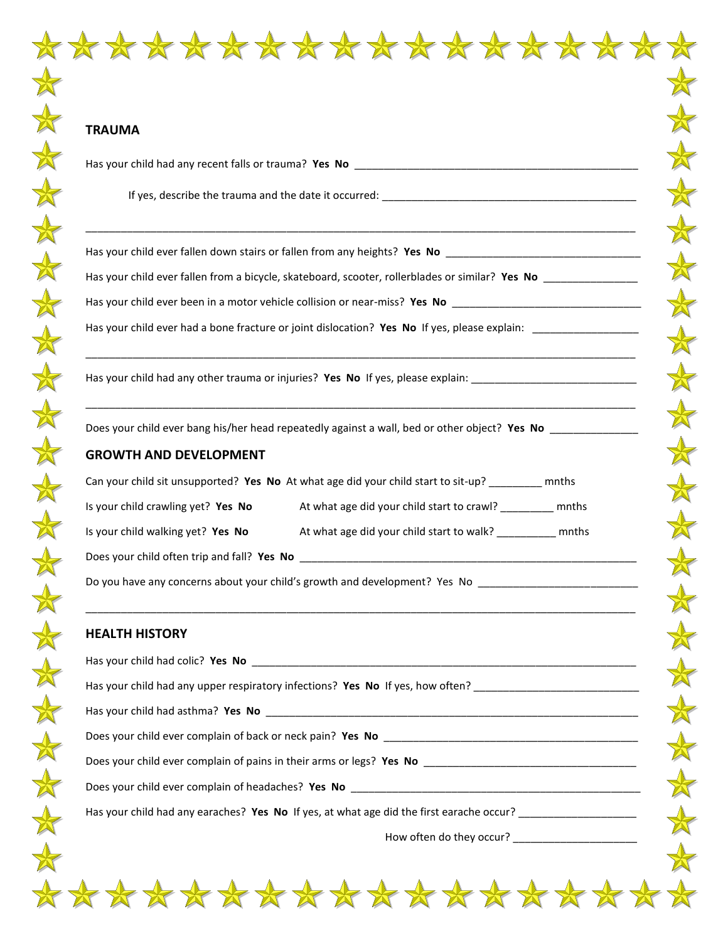Has your child had any recent falls or trauma? **Yes No** \_\_\_\_\_\_\_\_\_\_\_\_\_\_\_\_\_\_\_\_\_\_\_\_\_\_\_\_\_\_\_\_\_\_\_\_\_\_\_\_\_\_\_\_\_\_\_\_

If yes, describe the trauma and the date it occurred: \_\_\_\_\_\_\_\_\_\_\_\_\_\_\_\_\_\_\_\_\_\_\_\_\_\_\_\_\_\_\_\_\_\_\_\_\_\_\_\_\_\_\_

Has your child ever fallen down stairs or fallen from any heights? **Yes No** \_\_\_\_\_\_\_\_\_\_\_\_\_\_\_\_\_\_\_\_\_\_\_\_\_\_\_\_\_\_\_\_\_

Has your child ever fallen from a bicycle, skateboard, scooter, rollerblades or similar? **Yes No** \_\_\_\_\_\_\_\_\_\_\_\_\_\_\_\_

\_\_\_\_\_\_\_\_\_\_\_\_\_\_\_\_\_\_\_\_\_\_\_\_\_\_\_\_\_\_\_\_\_\_\_\_\_\_\_\_\_\_\_\_\_\_\_\_\_\_\_\_\_\_\_\_\_\_\_\_\_\_\_\_\_\_\_\_\_\_\_\_\_\_\_\_\_\_\_\_\_\_\_\_\_\_\_\_\_\_\_\_\_

\_\_\_\_\_\_\_\_\_\_\_\_\_\_\_\_\_\_\_\_\_\_\_\_\_\_\_\_\_\_\_\_\_\_\_\_\_\_\_\_\_\_\_\_\_\_\_\_\_\_\_\_\_\_\_\_\_\_\_\_\_\_\_\_\_\_\_\_\_\_\_\_\_\_\_\_\_\_\_\_\_\_\_\_\_\_\_\_\_\_\_\_\_

\_\_\_\_\_\_\_\_\_\_\_\_\_\_\_\_\_\_\_\_\_\_\_\_\_\_\_\_\_\_\_\_\_\_\_\_\_\_\_\_\_\_\_\_\_\_\_\_\_\_\_\_\_\_\_\_\_\_\_\_\_\_\_\_\_\_\_\_\_\_\_\_\_\_\_\_\_\_\_\_\_\_\_\_\_\_\_\_\_\_\_\_\_

\_\_\_\_\_\_\_\_\_\_\_\_\_\_\_\_\_\_\_\_\_\_\_\_\_\_\_\_\_\_\_\_\_\_\_\_\_\_\_\_\_\_\_\_\_\_\_\_\_\_\_\_\_\_\_\_\_\_\_\_\_\_\_\_\_\_\_\_\_\_\_\_\_\_\_\_\_\_\_\_\_\_\_\_\_\_\_\_\_\_\_\_\_

Has your child ever been in a motor vehicle collision or near-miss? **Yes No** \_\_\_\_\_\_\_\_\_\_\_\_\_\_\_\_\_\_\_\_\_\_\_\_\_\_\_\_\_\_\_\_

Has your child ever had a bone fracture or joint dislocation? Yes No If yes, please explain: \_\_\_\_\_\_\_\_\_\_\_\_\_\_\_\_\_

Has your child had any other trauma or injuries? **Yes No** If yes, please explain: \_\_\_\_\_\_\_\_\_\_\_\_\_\_\_\_\_\_\_\_\_\_\_\_\_\_\_\_

Does your child ever bang his/her head repeatedly against a wall, bed or other object? **Yes No** \_\_\_\_\_\_\_\_\_\_\_\_\_\_\_

## **GROWTH AND DEVELOPMENT**

| Can your child sit unsupported? Yes No At what age did your child start to sit-up? |                                            | mnths |
|------------------------------------------------------------------------------------|--------------------------------------------|-------|
| Is your child crawling yet? Yes No                                                 | At what age did your child start to crawl? | mnths |
| Is your child walking yet? Yes No                                                  | At what age did your child start to walk?  | mnths |
| Does your child often trip and fall? Yes No                                        |                                            |       |

Do you have any concerns about your child's growth and development? Yes No \_\_\_\_\_\_\_\_\_\_\_\_\_\_\_\_\_\_\_\_\_\_\_\_

## **HEALTH HISTORY**

| Does your child ever complain of pains in their arms or legs? Yes No _______________________________       |
|------------------------------------------------------------------------------------------------------------|
|                                                                                                            |
| Has your child had any earaches? Yes No If yes, at what age did the first earache occur? _________________ |
|                                                                                                            |